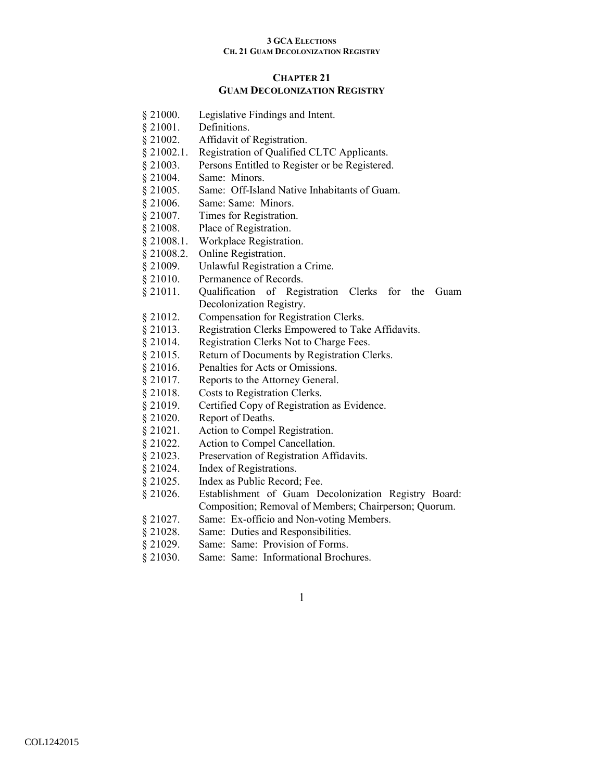# **CHAPTER 21 GUAM DECOLONIZATION REGISTRY**

- § 21000. Legislative Findings and Intent.
- § 21001. Definitions.
- § 21002. Affidavit of Registration.
- § 21002.1. Registration of Qualified CLTC Applicants.
- § 21003. Persons Entitled to Register or be Registered.
- § 21004. Same: Minors.
- § 21005. Same: Off-Island Native Inhabitants of Guam.
- § 21006. Same: Same: Minors.
- § 21007. Times for Registration.
- § 21008. Place of Registration.
- § 21008.1. Workplace Registration.
- § 21008.2. Online Registration.
- § 21009. Unlawful Registration a Crime.
- § 21010. Permanence of Records.
- § 21011. Qualification of Registration Clerks for the Guam Decolonization Registry.
- § 21012. Compensation for Registration Clerks.
- § 21013. Registration Clerks Empowered to Take Affidavits.
- § 21014. Registration Clerks Not to Charge Fees.
- § 21015. Return of Documents by Registration Clerks.
- § 21016. Penalties for Acts or Omissions.
- § 21017. Reports to the Attorney General.
- § 21018. Costs to Registration Clerks.
- § 21019. Certified Copy of Registration as Evidence.
- § 21020. Report of Deaths.
- § 21021. Action to Compel Registration.
- § 21022. Action to Compel Cancellation.
- § 21023. Preservation of Registration Affidavits.
- § 21024. Index of Registrations.
- § 21025. Index as Public Record; Fee.
- § 21026. Establishment of Guam Decolonization Registry Board: Composition; Removal of Members; Chairperson; Quorum.
- § 21027. Same: Ex-officio and Non-voting Members.
- § 21028. Same: Duties and Responsibilities.
- § 21029. Same: Same: Provision of Forms.
- § 21030. Same: Same: Informational Brochures.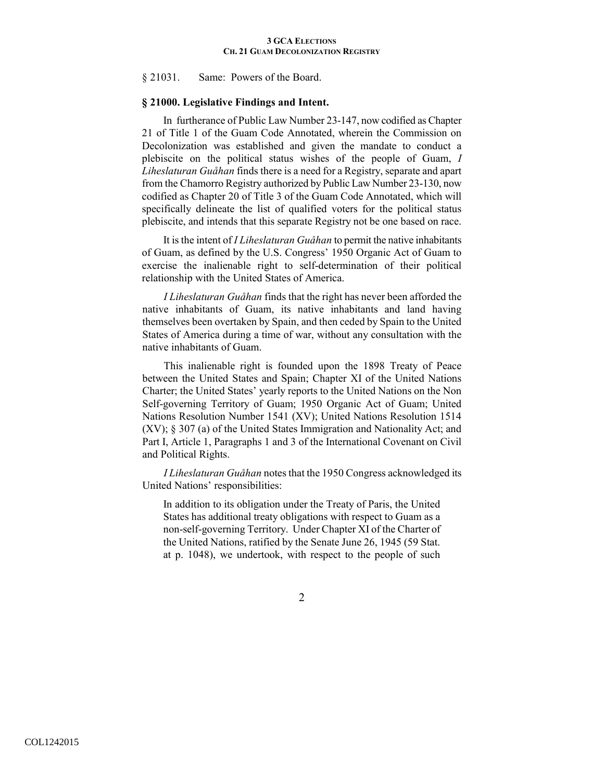§ 21031. Same: Powers of the Board.

# **§ 21000. Legislative Findings and Intent.**

In furtherance of Public Law Number 23-147, now codified as Chapter 21 of Title 1 of the Guam Code Annotated, wherein the Commission on Decolonization was established and given the mandate to conduct a plebiscite on the political status wishes of the people of Guam, *I Liheslaturan Guåhan* finds there is a need for a Registry, separate and apart from the Chamorro Registry authorized by Public Law Number 23-130, now codified as Chapter 20 of Title 3 of the Guam Code Annotated, which will specifically delineate the list of qualified voters for the political status plebiscite, and intends that this separate Registry not be one based on race.

It is the intent of *I Liheslaturan Guåhan* to permit the native inhabitants of Guam, as defined by the U.S. Congress' 1950 Organic Act of Guam to exercise the inalienable right to self-determination of their political relationship with the United States of America.

*I Liheslaturan Guåhan* finds that the right has never been afforded the native inhabitants of Guam, its native inhabitants and land having themselves been overtaken by Spain, and then ceded by Spain to the United States of America during a time of war, without any consultation with the native inhabitants of Guam.

This inalienable right is founded upon the 1898 Treaty of Peace between the United States and Spain; Chapter XI of the United Nations Charter; the United States' yearly reports to the United Nations on the Non Self-governing Territory of Guam; 1950 Organic Act of Guam; United Nations Resolution Number 1541 (XV); United Nations Resolution 1514 (XV); § 307 (a) of the United States Immigration and Nationality Act; and Part I, Article 1, Paragraphs 1 and 3 of the International Covenant on Civil and Political Rights.

*I Liheslaturan Guåhan* notes that the 1950 Congress acknowledged its United Nations' responsibilities:

In addition to its obligation under the Treaty of Paris, the United States has additional treaty obligations with respect to Guam as a non-self-governing Territory. Under Chapter XI of the Charter of the United Nations, ratified by the Senate June 26, 1945 (59 Stat. at p. 1048), we undertook, with respect to the people of such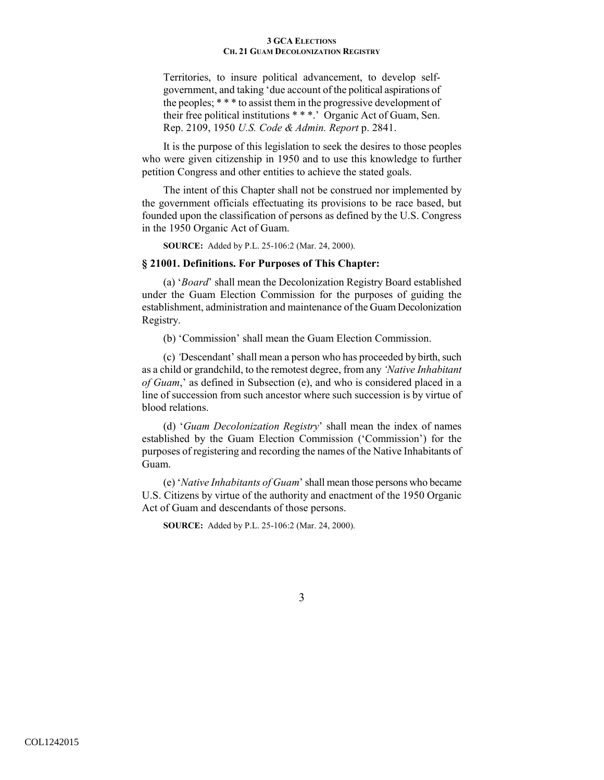Territories, to insure political advancement, to develop selfgovernment, and taking 'due account of the political aspirations of the peoples; \* \* \* to assist them in the progressive development of their free political institutions \* \* \*.' Organic Act of Guam, Sen. Rep. 2109, 1950 *U.S. Code & Admin. Report* p. 2841.

It is the purpose of this legislation to seek the desires to those peoples who were given citizenship in 1950 and to use this knowledge to further petition Congress and other entities to achieve the stated goals.

The intent of this Chapter shall not be construed nor implemented by the government officials effectuating its provisions to be race based, but founded upon the classification of persons as defined by the U.S. Congress in the 1950 Organic Act of Guam.

**SOURCE:** Added by P.L. 25-106:2 (Mar. 24, 2000).

## **§ 21001. Definitions. For Purposes of This Chapter:**

(a) '*Board*' shall mean the Decolonization Registry Board established under the Guam Election Commission for the purposes of guiding the establishment, administration and maintenance of the Guam Decolonization Registry.

(b) 'Commission' shall mean the Guam Election Commission.

(c) *'*Descendant' shall mean a person who has proceeded by birth, such as a child or grandchild, to the remotest degree, from any *'Native Inhabitant of Guam*,' as defined in Subsection (e), and who is considered placed in a line of succession from such ancestor where such succession is by virtue of blood relations.

(d) '*Guam Decolonization Registry*' shall mean the index of names established by the Guam Election Commission ('Commission') for the purposes of registering and recording the names of the Native Inhabitants of Guam.

(e) '*Native Inhabitants of Guam*' shall mean those persons who became U.S. Citizens by virtue of the authority and enactment of the 1950 Organic Act of Guam and descendants of those persons.

**SOURCE:** Added by P.L. 25-106:2 (Mar. 24, 2000).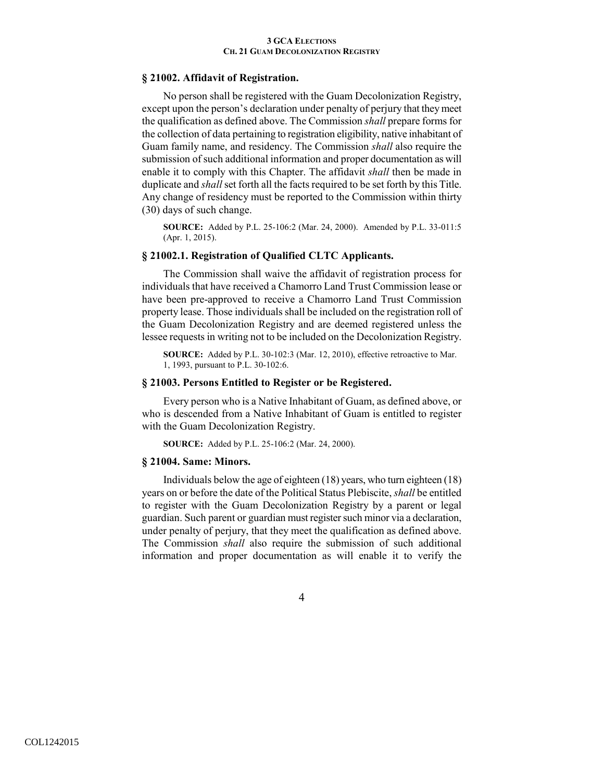## **§ 21002. Affidavit of Registration.**

No person shall be registered with the Guam Decolonization Registry, except upon the person's declaration under penalty of perjury that they meet the qualification as defined above. The Commission *shall* prepare forms for the collection of data pertaining to registration eligibility, native inhabitant of Guam family name, and residency. The Commission *shall* also require the submission of such additional information and proper documentation as will enable it to comply with this Chapter. The affidavit *shall* then be made in duplicate and *shall* set forth all the facts required to be set forth by this Title. Any change of residency must be reported to the Commission within thirty (30) days of such change.

**SOURCE:** Added by P.L. 25-106:2 (Mar. 24, 2000). Amended by P.L. 33-011:5 (Apr. 1, 2015).

# **§ 21002.1. Registration of Qualified CLTC Applicants.**

The Commission shall waive the affidavit of registration process for individuals that have received a Chamorro Land Trust Commission lease or have been pre-approved to receive a Chamorro Land Trust Commission property lease. Those individuals shall be included on the registration roll of the Guam Decolonization Registry and are deemed registered unless the lessee requests in writing not to be included on the Decolonization Registry.

**SOURCE:** Added by P.L. 30-102:3 (Mar. 12, 2010), effective retroactive to Mar. 1, 1993, pursuant to P.L. 30-102:6.

# **§ 21003. Persons Entitled to Register or be Registered.**

Every person who is a Native Inhabitant of Guam, as defined above, or who is descended from a Native Inhabitant of Guam is entitled to register with the Guam Decolonization Registry.

**SOURCE:** Added by P.L. 25-106:2 (Mar. 24, 2000).

### **§ 21004. Same: Minors.**

Individuals below the age of eighteen (18) years, who turn eighteen (18) years on or before the date of the Political Status Plebiscite, *shall* be entitled to register with the Guam Decolonization Registry by a parent or legal guardian. Such parent or guardian must register such minor via a declaration, under penalty of perjury, that they meet the qualification as defined above. The Commission *shall* also require the submission of such additional information and proper documentation as will enable it to verify the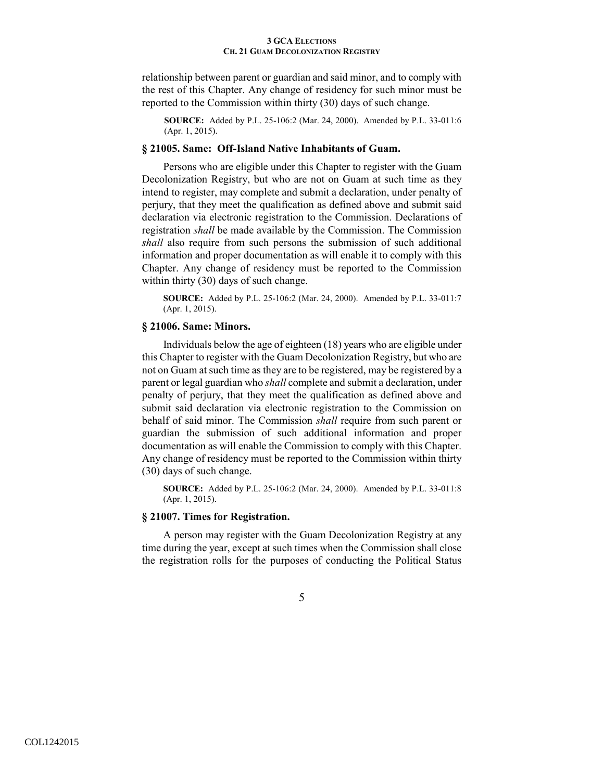relationship between parent or guardian and said minor, and to comply with the rest of this Chapter. Any change of residency for such minor must be reported to the Commission within thirty (30) days of such change.

**SOURCE:** Added by P.L. 25-106:2 (Mar. 24, 2000). Amended by P.L. 33-011:6 (Apr. 1, 2015).

## **§ 21005. Same: Off-Island Native Inhabitants of Guam.**

Persons who are eligible under this Chapter to register with the Guam Decolonization Registry, but who are not on Guam at such time as they intend to register, may complete and submit a declaration, under penalty of perjury, that they meet the qualification as defined above and submit said declaration via electronic registration to the Commission. Declarations of registration *shall* be made available by the Commission. The Commission *shall* also require from such persons the submission of such additional information and proper documentation as will enable it to comply with this Chapter. Any change of residency must be reported to the Commission within thirty (30) days of such change.

**SOURCE:** Added by P.L. 25-106:2 (Mar. 24, 2000). Amended by P.L. 33-011:7 (Apr. 1, 2015).

# **§ 21006. Same: Minors.**

Individuals below the age of eighteen (18) years who are eligible under this Chapter to register with the Guam Decolonization Registry, but who are not on Guam at such time as they are to be registered, may be registered by a parent or legal guardian who *shall* complete and submit a declaration, under penalty of perjury, that they meet the qualification as defined above and submit said declaration via electronic registration to the Commission on behalf of said minor. The Commission *shall* require from such parent or guardian the submission of such additional information and proper documentation as will enable the Commission to comply with this Chapter. Any change of residency must be reported to the Commission within thirty (30) days of such change.

**SOURCE:** Added by P.L. 25-106:2 (Mar. 24, 2000). Amended by P.L. 33-011:8 (Apr. 1, 2015).

## **§ 21007. Times for Registration.**

A person may register with the Guam Decolonization Registry at any time during the year, except at such times when the Commission shall close the registration rolls for the purposes of conducting the Political Status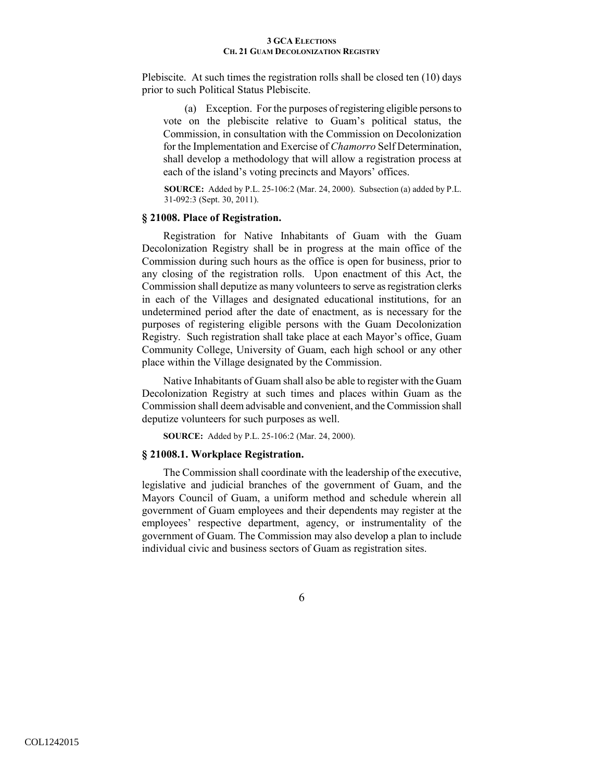Plebiscite. At such times the registration rolls shall be closed ten (10) days prior to such Political Status Plebiscite.

(a) Exception. For the purposes of registering eligible persons to vote on the plebiscite relative to Guam's political status, the Commission, in consultation with the Commission on Decolonization for the Implementation and Exercise of *Chamorro* Self Determination, shall develop a methodology that will allow a registration process at each of the island's voting precincts and Mayors' offices.

**SOURCE:** Added by P.L. 25-106:2 (Mar. 24, 2000). Subsection (a) added by P.L. 31-092:3 (Sept. 30, 2011).

# **§ 21008. Place of Registration.**

Registration for Native Inhabitants of Guam with the Guam Decolonization Registry shall be in progress at the main office of the Commission during such hours as the office is open for business, prior to any closing of the registration rolls. Upon enactment of this Act, the Commission shall deputize as many volunteers to serve as registration clerks in each of the Villages and designated educational institutions, for an undetermined period after the date of enactment, as is necessary for the purposes of registering eligible persons with the Guam Decolonization Registry. Such registration shall take place at each Mayor's office, Guam Community College, University of Guam, each high school or any other place within the Village designated by the Commission.

Native Inhabitants of Guam shall also be able to register with the Guam Decolonization Registry at such times and places within Guam as the Commission shall deem advisable and convenient, and the Commission shall deputize volunteers for such purposes as well.

**SOURCE:** Added by P.L. 25-106:2 (Mar. 24, 2000).

## **§ 21008.1. Workplace Registration.**

The Commission shall coordinate with the leadership of the executive, legislative and judicial branches of the government of Guam, and the Mayors Council of Guam, a uniform method and schedule wherein all government of Guam employees and their dependents may register at the employees' respective department, agency, or instrumentality of the government of Guam. The Commission may also develop a plan to include individual civic and business sectors of Guam as registration sites.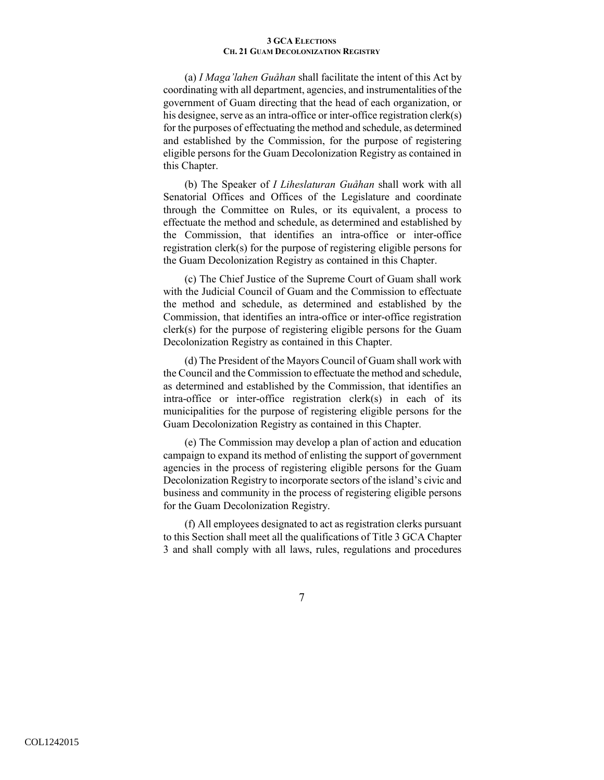(a) *I Maga'lahen Guåhan* shall facilitate the intent of this Act by coordinating with all department, agencies, and instrumentalities of the government of Guam directing that the head of each organization, or his designee, serve as an intra-office or inter-office registration clerk(s) for the purposes of effectuating the method and schedule, as determined and established by the Commission, for the purpose of registering eligible persons for the Guam Decolonization Registry as contained in this Chapter.

(b) The Speaker of *I Liheslaturan Guåhan* shall work with all Senatorial Offices and Offices of the Legislature and coordinate through the Committee on Rules, or its equivalent, a process to effectuate the method and schedule, as determined and established by the Commission, that identifies an intra-office or inter-office registration clerk(s) for the purpose of registering eligible persons for the Guam Decolonization Registry as contained in this Chapter.

(c) The Chief Justice of the Supreme Court of Guam shall work with the Judicial Council of Guam and the Commission to effectuate the method and schedule, as determined and established by the Commission, that identifies an intra-office or inter-office registration clerk(s) for the purpose of registering eligible persons for the Guam Decolonization Registry as contained in this Chapter.

(d) The President of the Mayors Council of Guam shall work with the Council and the Commission to effectuate the method and schedule, as determined and established by the Commission, that identifies an intra-office or inter-office registration clerk(s) in each of its municipalities for the purpose of registering eligible persons for the Guam Decolonization Registry as contained in this Chapter.

(e) The Commission may develop a plan of action and education campaign to expand its method of enlisting the support of government agencies in the process of registering eligible persons for the Guam Decolonization Registry to incorporate sectors of the island's civic and business and community in the process of registering eligible persons for the Guam Decolonization Registry.

(f) All employees designated to act as registration clerks pursuant to this Section shall meet all the qualifications of Title 3 GCA Chapter 3 and shall comply with all laws, rules, regulations and procedures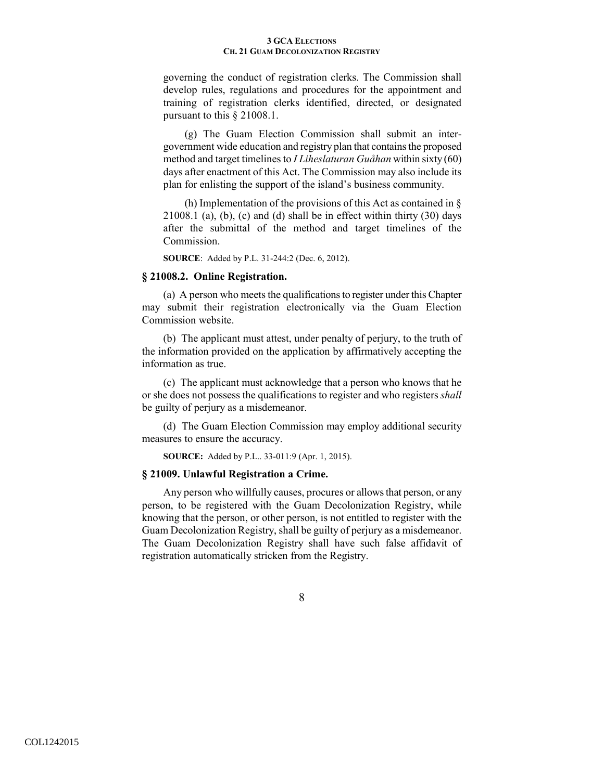governing the conduct of registration clerks. The Commission shall develop rules, regulations and procedures for the appointment and training of registration clerks identified, directed, or designated pursuant to this § 21008.1.

(g) The Guam Election Commission shall submit an intergovernment wide education and registry plan that contains the proposed method and target timelines to *I Liheslaturan Guåhan* within sixty (60) days after enactment of this Act. The Commission may also include its plan for enlisting the support of the island's business community.

(h) Implementation of the provisions of this Act as contained in §  $21008.1$  (a), (b), (c) and (d) shall be in effect within thirty  $(30)$  days after the submittal of the method and target timelines of the Commission.

**SOURCE**: Added by P.L. 31-244:2 (Dec. 6, 2012).

# **§ 21008.2. Online Registration.**

(a) A person who meets the qualifications to register under this Chapter may submit their registration electronically via the Guam Election Commission website.

(b) The applicant must attest, under penalty of perjury, to the truth of the information provided on the application by affirmatively accepting the information as true.

(c) The applicant must acknowledge that a person who knows that he or she does not possess the qualifications to register and who registers *shall* be guilty of perjury as a misdemeanor.

(d) The Guam Election Commission may employ additional security measures to ensure the accuracy.

**SOURCE:** Added by P.L.. 33-011:9 (Apr. 1, 2015).

### **§ 21009. Unlawful Registration a Crime.**

Any person who willfully causes, procures or allows that person, or any person, to be registered with the Guam Decolonization Registry, while knowing that the person, or other person, is not entitled to register with the Guam Decolonization Registry, shall be guilty of perjury as a misdemeanor. The Guam Decolonization Registry shall have such false affidavit of registration automatically stricken from the Registry.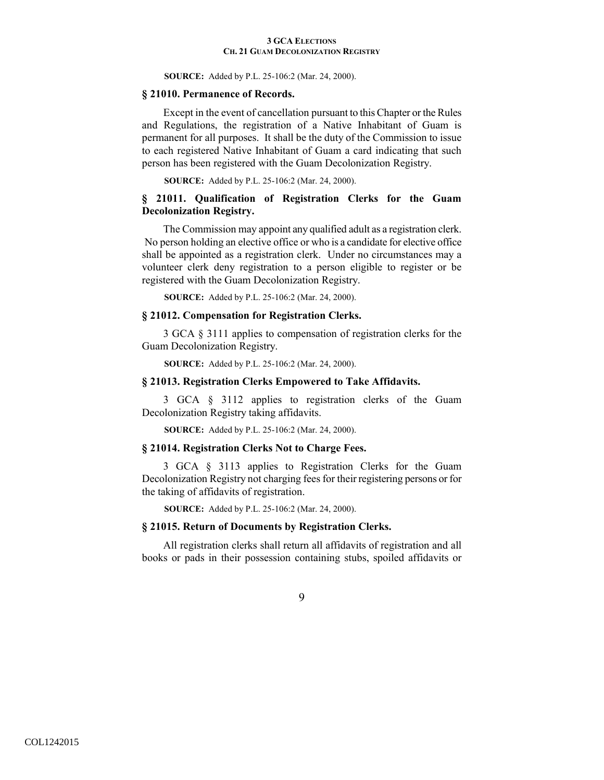**SOURCE:** Added by P.L. 25-106:2 (Mar. 24, 2000).

### **§ 21010. Permanence of Records.**

Except in the event of cancellation pursuant to this Chapter or the Rules and Regulations, the registration of a Native Inhabitant of Guam is permanent for all purposes. It shall be the duty of the Commission to issue to each registered Native Inhabitant of Guam a card indicating that such person has been registered with the Guam Decolonization Registry.

**SOURCE:** Added by P.L. 25-106:2 (Mar. 24, 2000).

# **§ 21011. Qualification of Registration Clerks for the Guam Decolonization Registry.**

The Commission may appoint any qualified adult as a registration clerk. No person holding an elective office or who is a candidate for elective office shall be appointed as a registration clerk. Under no circumstances may a volunteer clerk deny registration to a person eligible to register or be registered with the Guam Decolonization Registry.

**SOURCE:** Added by P.L. 25-106:2 (Mar. 24, 2000).

# **§ 21012. Compensation for Registration Clerks.**

3 GCA § 3111 applies to compensation of registration clerks for the Guam Decolonization Registry.

**SOURCE:** Added by P.L. 25-106:2 (Mar. 24, 2000).

## **§ 21013. Registration Clerks Empowered to Take Affidavits.**

3 GCA § 3112 applies to registration clerks of the Guam Decolonization Registry taking affidavits.

**SOURCE:** Added by P.L. 25-106:2 (Mar. 24, 2000).

### **§ 21014. Registration Clerks Not to Charge Fees.**

3 GCA § 3113 applies to Registration Clerks for the Guam Decolonization Registry not charging fees for their registering persons or for the taking of affidavits of registration.

**SOURCE:** Added by P.L. 25-106:2 (Mar. 24, 2000).

## **§ 21015. Return of Documents by Registration Clerks.**

All registration clerks shall return all affidavits of registration and all books or pads in their possession containing stubs, spoiled affidavits or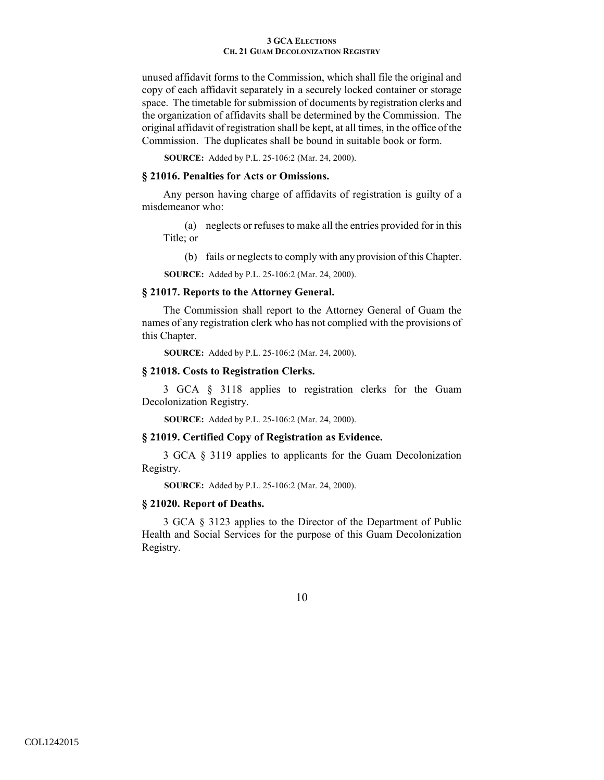unused affidavit forms to the Commission, which shall file the original and copy of each affidavit separately in a securely locked container or storage space. The timetable for submission of documents by registration clerks and the organization of affidavits shall be determined by the Commission. The original affidavit of registration shall be kept, at all times, in the office of the Commission. The duplicates shall be bound in suitable book or form.

**SOURCE:** Added by P.L. 25-106:2 (Mar. 24, 2000).

# **§ 21016. Penalties for Acts or Omissions.**

Any person having charge of affidavits of registration is guilty of a misdemeanor who:

(a) neglects or refuses to make all the entries provided for in this Title; or

(b) fails or neglects to comply with any provision of this Chapter.

**SOURCE:** Added by P.L. 25-106:2 (Mar. 24, 2000).

# **§ 21017. Reports to the Attorney General.**

The Commission shall report to the Attorney General of Guam the names of any registration clerk who has not complied with the provisions of this Chapter.

**SOURCE:** Added by P.L. 25-106:2 (Mar. 24, 2000).

#### **§ 21018. Costs to Registration Clerks.**

3 GCA § 3118 applies to registration clerks for the Guam Decolonization Registry.

**SOURCE:** Added by P.L. 25-106:2 (Mar. 24, 2000).

# **§ 21019. Certified Copy of Registration as Evidence.**

3 GCA § 3119 applies to applicants for the Guam Decolonization Registry.

**SOURCE:** Added by P.L. 25-106:2 (Mar. 24, 2000).

#### **§ 21020. Report of Deaths.**

3 GCA § 3123 applies to the Director of the Department of Public Health and Social Services for the purpose of this Guam Decolonization Registry.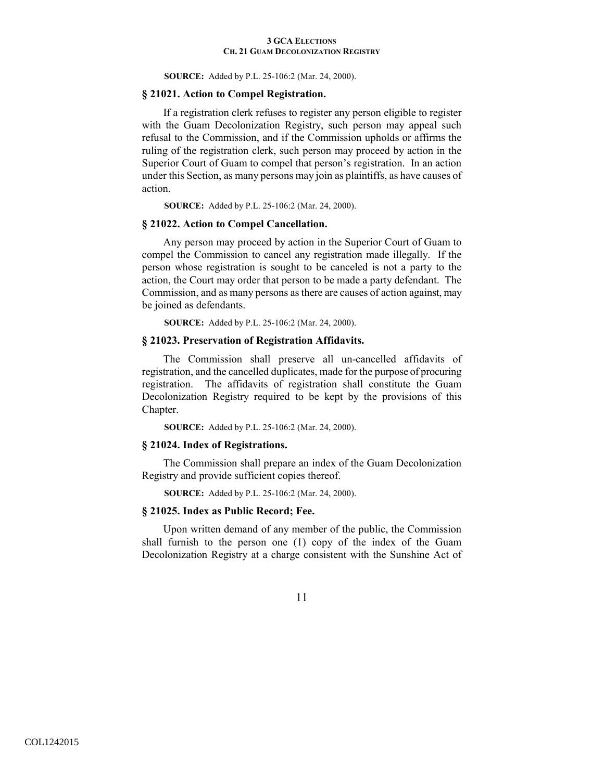**SOURCE:** Added by P.L. 25-106:2 (Mar. 24, 2000).

## **§ 21021. Action to Compel Registration.**

If a registration clerk refuses to register any person eligible to register with the Guam Decolonization Registry, such person may appeal such refusal to the Commission, and if the Commission upholds or affirms the ruling of the registration clerk, such person may proceed by action in the Superior Court of Guam to compel that person's registration. In an action under this Section, as many persons may join as plaintiffs, as have causes of action.

**SOURCE:** Added by P.L. 25-106:2 (Mar. 24, 2000).

## **§ 21022. Action to Compel Cancellation.**

Any person may proceed by action in the Superior Court of Guam to compel the Commission to cancel any registration made illegally. If the person whose registration is sought to be canceled is not a party to the action, the Court may order that person to be made a party defendant. The Commission, and as many persons as there are causes of action against, may be joined as defendants.

**SOURCE:** Added by P.L. 25-106:2 (Mar. 24, 2000).

# **§ 21023. Preservation of Registration Affidavits.**

The Commission shall preserve all un-cancelled affidavits of registration, and the cancelled duplicates, made for the purpose of procuring registration. The affidavits of registration shall constitute the Guam Decolonization Registry required to be kept by the provisions of this Chapter.

**SOURCE:** Added by P.L. 25-106:2 (Mar. 24, 2000).

# **§ 21024. Index of Registrations.**

The Commission shall prepare an index of the Guam Decolonization Registry and provide sufficient copies thereof.

**SOURCE:** Added by P.L. 25-106:2 (Mar. 24, 2000).

### **§ 21025. Index as Public Record; Fee.**

Upon written demand of any member of the public, the Commission shall furnish to the person one (1) copy of the index of the Guam Decolonization Registry at a charge consistent with the Sunshine Act of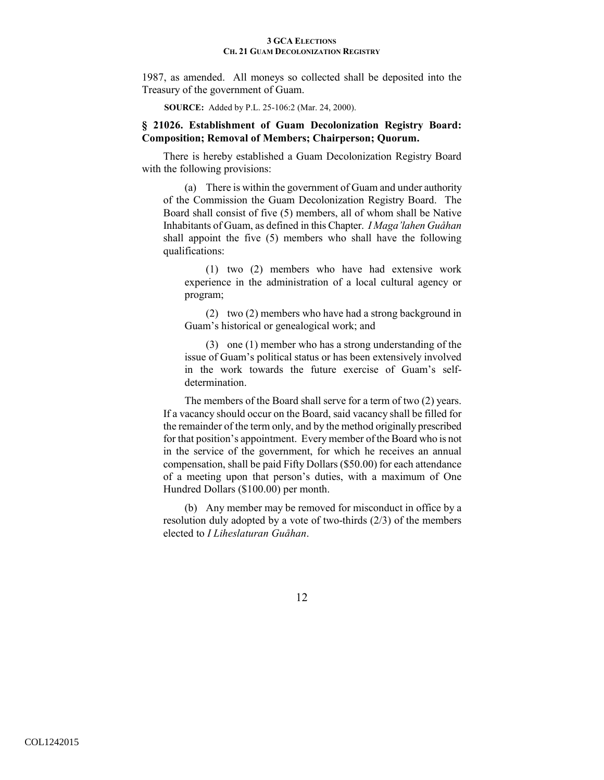1987, as amended. All moneys so collected shall be deposited into the Treasury of the government of Guam.

**SOURCE:** Added by P.L. 25-106:2 (Mar. 24, 2000).

# **§ 21026. Establishment of Guam Decolonization Registry Board: Composition; Removal of Members; Chairperson; Quorum.**

There is hereby established a Guam Decolonization Registry Board with the following provisions:

(a) There is within the government of Guam and under authority of the Commission the Guam Decolonization Registry Board. The Board shall consist of five (5) members, all of whom shall be Native Inhabitants of Guam, as defined in this Chapter. *I Maga'lahen Guåhan* shall appoint the five (5) members who shall have the following qualifications:

(1) two (2) members who have had extensive work experience in the administration of a local cultural agency or program;

(2) two (2) members who have had a strong background in Guam's historical or genealogical work; and

(3) one (1) member who has a strong understanding of the issue of Guam's political status or has been extensively involved in the work towards the future exercise of Guam's selfdetermination.

The members of the Board shall serve for a term of two (2) years. If a vacancy should occur on the Board, said vacancy shall be filled for the remainder of the term only, and by the method originally prescribed for that position's appointment. Every member of the Board who is not in the service of the government, for which he receives an annual compensation, shall be paid Fifty Dollars (\$50.00) for each attendance of a meeting upon that person's duties, with a maximum of One Hundred Dollars (\$100.00) per month.

(b) Any member may be removed for misconduct in office by a resolution duly adopted by a vote of two-thirds (2/3) of the members elected to *I Liheslaturan Guåhan*.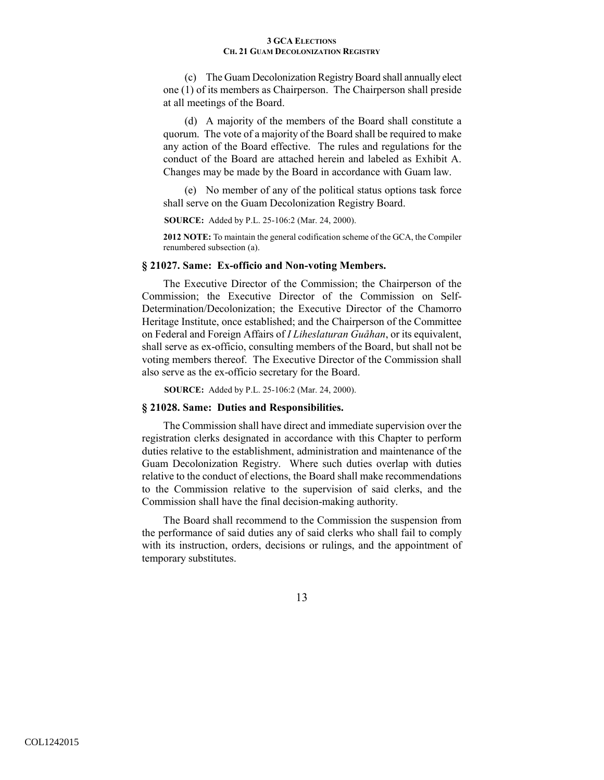(c) The Guam Decolonization Registry Board shall annually elect one (1) of its members as Chairperson. The Chairperson shall preside at all meetings of the Board.

(d) A majority of the members of the Board shall constitute a quorum. The vote of a majority of the Board shall be required to make any action of the Board effective. The rules and regulations for the conduct of the Board are attached herein and labeled as Exhibit A. Changes may be made by the Board in accordance with Guam law.

(e) No member of any of the political status options task force shall serve on the Guam Decolonization Registry Board.

**SOURCE:** Added by P.L. 25-106:2 (Mar. 24, 2000).

**2012 NOTE:** To maintain the general codification scheme of the GCA, the Compiler renumbered subsection (a).

# **§ 21027. Same: Ex-officio and Non-voting Members.**

The Executive Director of the Commission; the Chairperson of the Commission; the Executive Director of the Commission on Self-Determination/Decolonization; the Executive Director of the Chamorro Heritage Institute, once established; and the Chairperson of the Committee on Federal and Foreign Affairs of *I Liheslaturan Guåhan*, or its equivalent, shall serve as ex-officio, consulting members of the Board, but shall not be voting members thereof. The Executive Director of the Commission shall also serve as the ex-officio secretary for the Board.

**SOURCE:** Added by P.L. 25-106:2 (Mar. 24, 2000).

#### **§ 21028. Same: Duties and Responsibilities.**

The Commission shall have direct and immediate supervision over the registration clerks designated in accordance with this Chapter to perform duties relative to the establishment, administration and maintenance of the Guam Decolonization Registry. Where such duties overlap with duties relative to the conduct of elections, the Board shall make recommendations to the Commission relative to the supervision of said clerks, and the Commission shall have the final decision-making authority.

The Board shall recommend to the Commission the suspension from the performance of said duties any of said clerks who shall fail to comply with its instruction, orders, decisions or rulings, and the appointment of temporary substitutes.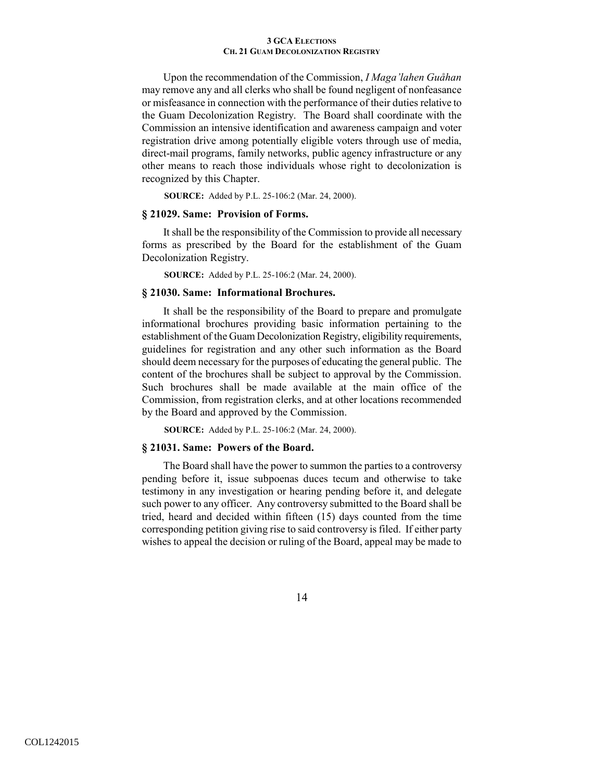Upon the recommendation of the Commission, *I Maga'lahen Guåhan* may remove any and all clerks who shall be found negligent of nonfeasance or misfeasance in connection with the performance of their duties relative to the Guam Decolonization Registry. The Board shall coordinate with the Commission an intensive identification and awareness campaign and voter registration drive among potentially eligible voters through use of media, direct-mail programs, family networks, public agency infrastructure or any other means to reach those individuals whose right to decolonization is recognized by this Chapter.

**SOURCE:** Added by P.L. 25-106:2 (Mar. 24, 2000).

# **§ 21029. Same: Provision of Forms.**

It shall be the responsibility of the Commission to provide all necessary forms as prescribed by the Board for the establishment of the Guam Decolonization Registry.

**SOURCE:** Added by P.L. 25-106:2 (Mar. 24, 2000).

## **§ 21030. Same: Informational Brochures.**

It shall be the responsibility of the Board to prepare and promulgate informational brochures providing basic information pertaining to the establishment of the Guam Decolonization Registry, eligibility requirements, guidelines for registration and any other such information as the Board should deem necessary for the purposes of educating the general public. The content of the brochures shall be subject to approval by the Commission. Such brochures shall be made available at the main office of the Commission, from registration clerks, and at other locations recommended by the Board and approved by the Commission.

**SOURCE:** Added by P.L. 25-106:2 (Mar. 24, 2000).

#### **§ 21031. Same: Powers of the Board.**

The Board shall have the power to summon the parties to a controversy pending before it, issue subpoenas duces tecum and otherwise to take testimony in any investigation or hearing pending before it, and delegate such power to any officer. Any controversy submitted to the Board shall be tried, heard and decided within fifteen (15) days counted from the time corresponding petition giving rise to said controversy is filed. If either party wishes to appeal the decision or ruling of the Board, appeal may be made to